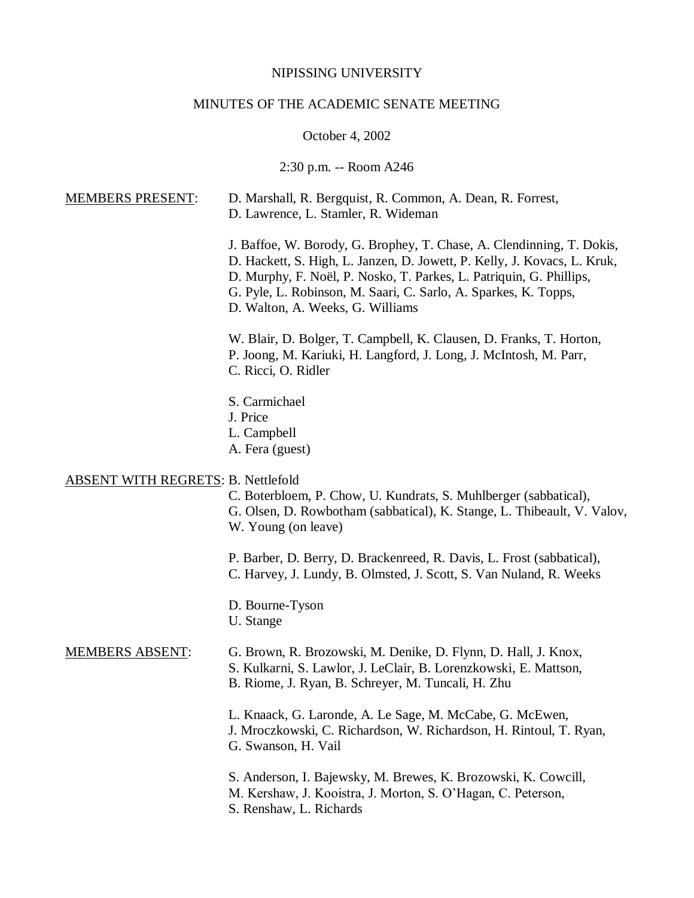## NIPISSING UNIVERSITY

# MINUTES OF THE ACADEMIC SENATE MEETING

## October 4, 2002

## 2:30 p.m. -- Room A246

| <b>MEMBERS PRESENT:</b>                   | D. Marshall, R. Bergquist, R. Common, A. Dean, R. Forrest,<br>D. Lawrence, L. Stamler, R. Wideman                                                                                                                                                                                                                               |
|-------------------------------------------|---------------------------------------------------------------------------------------------------------------------------------------------------------------------------------------------------------------------------------------------------------------------------------------------------------------------------------|
|                                           | J. Baffoe, W. Borody, G. Brophey, T. Chase, A. Clendinning, T. Dokis,<br>D. Hackett, S. High, L. Janzen, D. Jowett, P. Kelly, J. Kovacs, L. Kruk,<br>D. Murphy, F. Noël, P. Nosko, T. Parkes, L. Patriquin, G. Phillips,<br>G. Pyle, L. Robinson, M. Saari, C. Sarlo, A. Sparkes, K. Topps,<br>D. Walton, A. Weeks, G. Williams |
|                                           | W. Blair, D. Bolger, T. Campbell, K. Clausen, D. Franks, T. Horton,<br>P. Joong, M. Kariuki, H. Langford, J. Long, J. McIntosh, M. Parr,<br>C. Ricci, O. Ridler                                                                                                                                                                 |
|                                           | S. Carmichael<br>J. Price<br>L. Campbell<br>A. Fera (guest)                                                                                                                                                                                                                                                                     |
| <b>ABSENT WITH REGRETS: B. Nettlefold</b> | C. Boterbloem, P. Chow, U. Kundrats, S. Muhlberger (sabbatical),<br>G. Olsen, D. Rowbotham (sabbatical), K. Stange, L. Thibeault, V. Valov,<br>W. Young (on leave)                                                                                                                                                              |
|                                           | P. Barber, D. Berry, D. Brackenreed, R. Davis, L. Frost (sabbatical),<br>C. Harvey, J. Lundy, B. Olmsted, J. Scott, S. Van Nuland, R. Weeks                                                                                                                                                                                     |
|                                           | D. Bourne-Tyson<br>U. Stange                                                                                                                                                                                                                                                                                                    |
| <b>MEMBERS ABSENT:</b>                    | G. Brown, R. Brozowski, M. Denike, D. Flynn, D. Hall, J. Knox,<br>S. Kulkarni, S. Lawlor, J. LeClair, B. Lorenzkowski, E. Mattson,<br>B. Riome, J. Ryan, B. Schreyer, M. Tuncali, H. Zhu                                                                                                                                        |
|                                           | L. Knaack, G. Laronde, A. Le Sage, M. McCabe, G. McEwen,<br>J. Mroczkowski, C. Richardson, W. Richardson, H. Rintoul, T. Ryan,<br>G. Swanson, H. Vail                                                                                                                                                                           |
|                                           | S. Anderson, I. Bajewsky, M. Brewes, K. Brozowski, K. Cowcill,<br>M. Kershaw, J. Kooistra, J. Morton, S. O'Hagan, C. Peterson,<br>S. Renshaw, L. Richards                                                                                                                                                                       |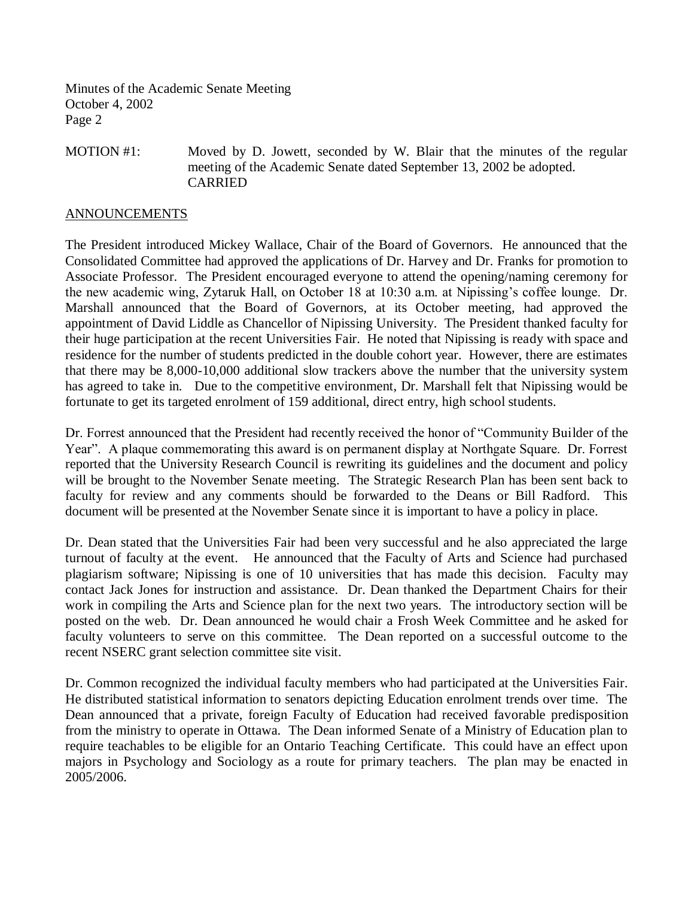MOTION #1: Moved by D. Jowett, seconded by W. Blair that the minutes of the regular meeting of the Academic Senate dated September 13, 2002 be adopted. CARRIED

#### ANNOUNCEMENTS

The President introduced Mickey Wallace, Chair of the Board of Governors. He announced that the Consolidated Committee had approved the applications of Dr. Harvey and Dr. Franks for promotion to Associate Professor. The President encouraged everyone to attend the opening/naming ceremony for the new academic wing, Zytaruk Hall, on October 18 at 10:30 a.m. at Nipissing's coffee lounge. Dr. Marshall announced that the Board of Governors, at its October meeting, had approved the appointment of David Liddle as Chancellor of Nipissing University. The President thanked faculty for their huge participation at the recent Universities Fair. He noted that Nipissing is ready with space and residence for the number of students predicted in the double cohort year. However, there are estimates that there may be 8,000-10,000 additional slow trackers above the number that the university system has agreed to take in. Due to the competitive environment, Dr. Marshall felt that Nipissing would be fortunate to get its targeted enrolment of 159 additional, direct entry, high school students.

Dr. Forrest announced that the President had recently received the honor of "Community Builder of the Year". A plaque commemorating this award is on permanent display at Northgate Square. Dr. Forrest reported that the University Research Council is rewriting its guidelines and the document and policy will be brought to the November Senate meeting. The Strategic Research Plan has been sent back to faculty for review and any comments should be forwarded to the Deans or Bill Radford. This document will be presented at the November Senate since it is important to have a policy in place.

Dr. Dean stated that the Universities Fair had been very successful and he also appreciated the large turnout of faculty at the event. He announced that the Faculty of Arts and Science had purchased plagiarism software; Nipissing is one of 10 universities that has made this decision. Faculty may contact Jack Jones for instruction and assistance. Dr. Dean thanked the Department Chairs for their work in compiling the Arts and Science plan for the next two years. The introductory section will be posted on the web. Dr. Dean announced he would chair a Frosh Week Committee and he asked for faculty volunteers to serve on this committee. The Dean reported on a successful outcome to the recent NSERC grant selection committee site visit.

Dr. Common recognized the individual faculty members who had participated at the Universities Fair. He distributed statistical information to senators depicting Education enrolment trends over time. The Dean announced that a private, foreign Faculty of Education had received favorable predisposition from the ministry to operate in Ottawa. The Dean informed Senate of a Ministry of Education plan to require teachables to be eligible for an Ontario Teaching Certificate. This could have an effect upon majors in Psychology and Sociology as a route for primary teachers. The plan may be enacted in 2005/2006.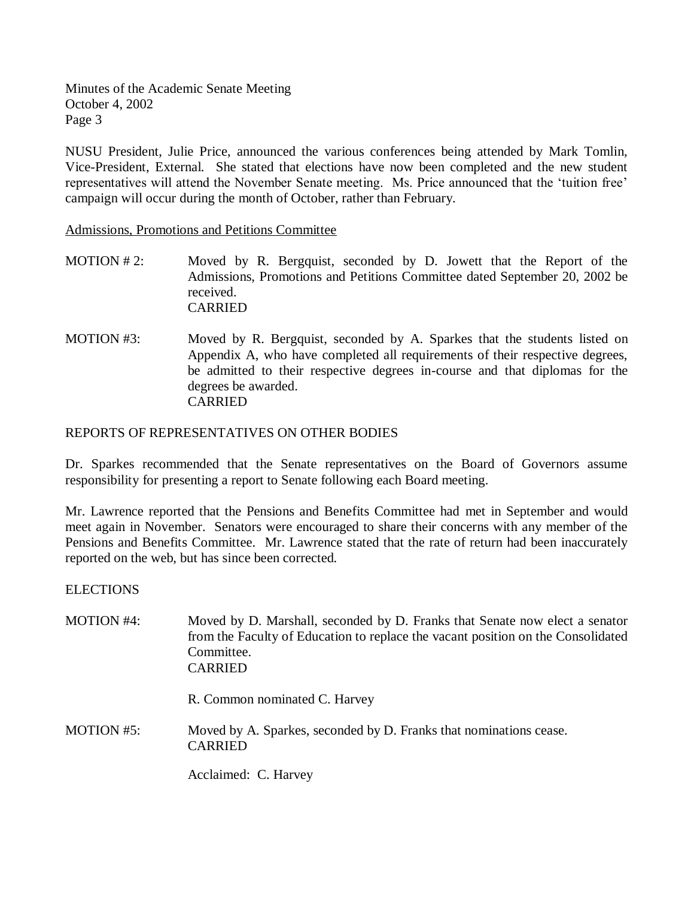NUSU President, Julie Price, announced the various conferences being attended by Mark Tomlin, Vice-President, External. She stated that elections have now been completed and the new student representatives will attend the November Senate meeting. Ms. Price announced that the 'tuition free' campaign will occur during the month of October, rather than February.

Admissions, Promotions and Petitions Committee

- MOTION # 2: Moved by R. Bergquist, seconded by D. Jowett that the Report of the Admissions, Promotions and Petitions Committee dated September 20, 2002 be received. CARRIED
- MOTION #3: Moved by R. Bergquist, seconded by A. Sparkes that the students listed on Appendix A, who have completed all requirements of their respective degrees, be admitted to their respective degrees in-course and that diplomas for the degrees be awarded. CARRIED

#### REPORTS OF REPRESENTATIVES ON OTHER BODIES

Dr. Sparkes recommended that the Senate representatives on the Board of Governors assume responsibility for presenting a report to Senate following each Board meeting.

Mr. Lawrence reported that the Pensions and Benefits Committee had met in September and would meet again in November. Senators were encouraged to share their concerns with any member of the Pensions and Benefits Committee. Mr. Lawrence stated that the rate of return had been inaccurately reported on the web, but has since been corrected.

#### ELECTIONS

| <b>MOTION #4:</b> | Moved by D. Marshall, seconded by D. Franks that Senate now elect a senator<br>from the Faculty of Education to replace the vacant position on the Consolidated<br>Committee.<br><b>CARRIED</b> |
|-------------------|-------------------------------------------------------------------------------------------------------------------------------------------------------------------------------------------------|
|                   | R. Common nominated C. Harvey                                                                                                                                                                   |
| <b>MOTION #5:</b> | Moved by A. Sparkes, seconded by D. Franks that nominations cease.<br><b>CARRIED</b>                                                                                                            |
|                   | Acclaimed: C. Harvey                                                                                                                                                                            |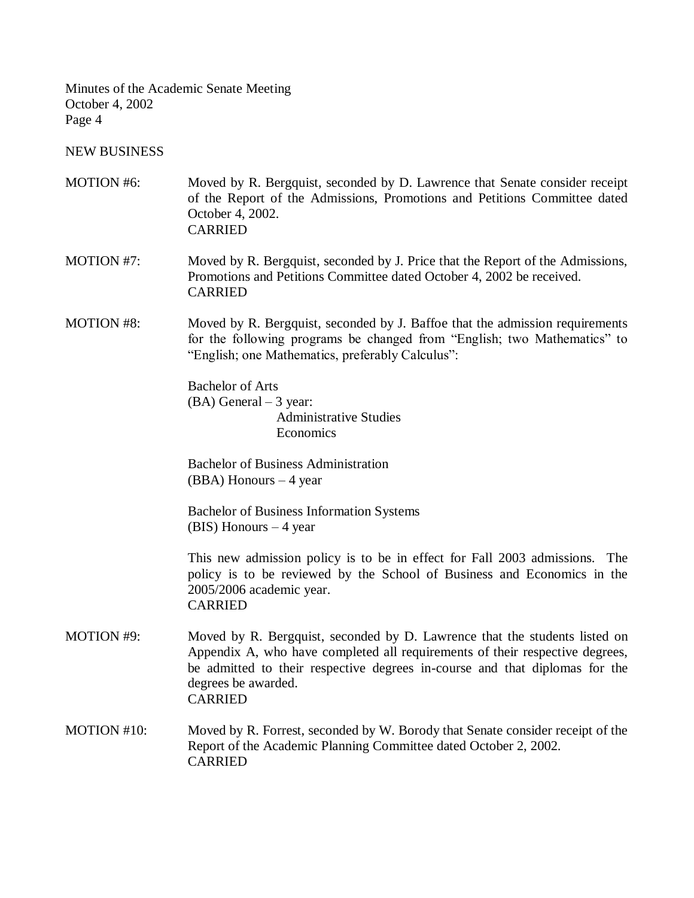NEW BUSINESS

| <b>MOTION #6:</b> | Moved by R. Bergquist, seconded by D. Lawrence that Senate consider receipt<br>of the Report of the Admissions, Promotions and Petitions Committee dated<br>October 4, 2002.<br><b>CARRIED</b>                                                                                     |
|-------------------|------------------------------------------------------------------------------------------------------------------------------------------------------------------------------------------------------------------------------------------------------------------------------------|
| <b>MOTION #7:</b> | Moved by R. Bergquist, seconded by J. Price that the Report of the Admissions,<br>Promotions and Petitions Committee dated October 4, 2002 be received.<br><b>CARRIED</b>                                                                                                          |
| <b>MOTION #8:</b> | Moved by R. Bergquist, seconded by J. Baffoe that the admission requirements<br>for the following programs be changed from "English; two Mathematics" to<br>"English; one Mathematics, preferably Calculus":                                                                       |
|                   | <b>Bachelor of Arts</b><br>$(BA)$ General $-3$ year:<br><b>Administrative Studies</b><br>Economics                                                                                                                                                                                 |
|                   | <b>Bachelor of Business Administration</b><br>$(BBA)$ Honours $-4$ year                                                                                                                                                                                                            |
|                   | <b>Bachelor of Business Information Systems</b><br>$(BIS)$ Honours $-4$ year                                                                                                                                                                                                       |
|                   | This new admission policy is to be in effect for Fall 2003 admissions. The<br>policy is to be reviewed by the School of Business and Economics in the<br>2005/2006 academic year.<br><b>CARRIED</b>                                                                                |
| <b>MOTION #9:</b> | Moved by R. Bergquist, seconded by D. Lawrence that the students listed on<br>Appendix A, who have completed all requirements of their respective degrees,<br>be admitted to their respective degrees in-course and that diplomas for the<br>degrees be awarded.<br><b>CARRIED</b> |
| MOTION #10:       | Moved by R. Forrest, seconded by W. Borody that Senate consider receipt of the<br>Report of the Academic Planning Committee dated October 2, 2002.<br><b>CARRIED</b>                                                                                                               |